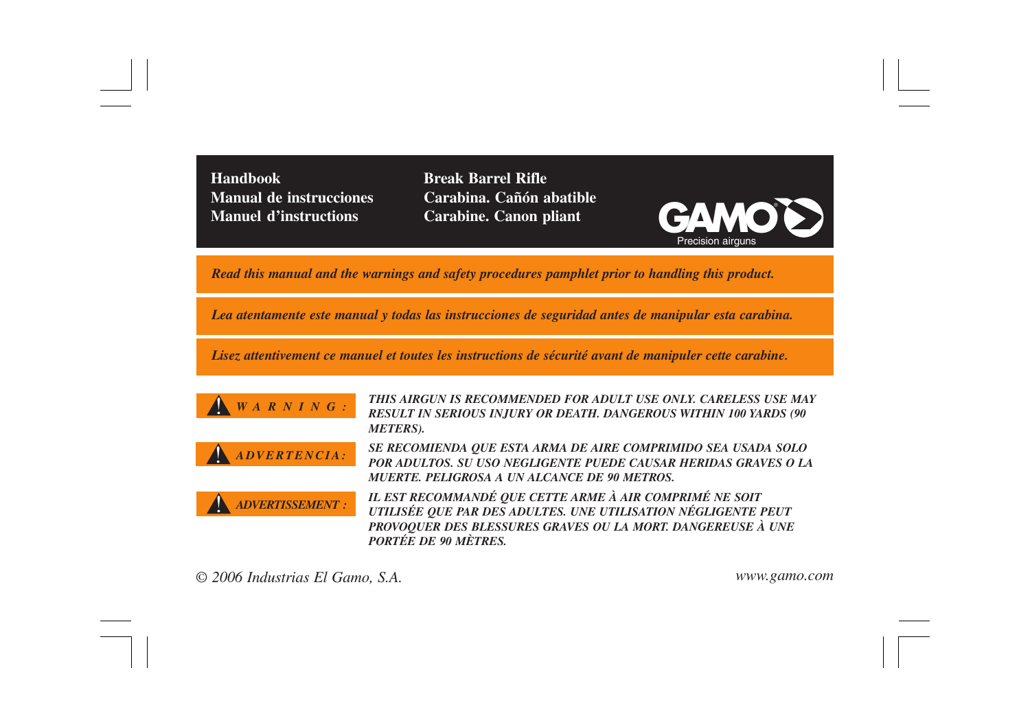**Handbook Manual de instrucciones**

**Manuel d'instructions Grammand Carabine. Canon pliant GAMO Break Barrel Rifle Carabina. Cañón abatible**



*Read this manual and the warnings and safety procedures pamphlet prior to handling this product.*

*Lea atentamente este manual y todas las instrucciones de seguridad antes de manipular esta carabina.*

*Lisez attentivement ce manuel et toutes les instructions de sécurité avant de manipuler cette carabine.*





*WARNING: THIS AIRGUN IS RECOMMENDED FOR ADULT USE ONLY. CARELESS USE MAY RESULT IN SERIOUS INJURY OR DEATH. DANGEROUS WITHIN 100 YARDS (90 METERS).*

*ADVERTENCIA: SE RECOMIENDA QUE ESTA ARMA DE AIRE COMPRIMIDO SEA USADA SOLO POR ADULTOS. SU USO NEGLIGENTE PUEDE CAUSAR HERIDAS GRAVES O LA MUERTE. PELIGROSA A UN ALCANCE DE 90 METROS.*

!

*ADVERTISSEMENT : IL EST RECOMMANDÉ QUE CETTE ARME À AIR COMPRIMÉ NE SOIT UTILISÉE QUE PAR DES ADULTES. UNE UTILISATION NÉGLIGENTE PEUT PROVOQUER DES BLESSURES GRAVES OU LA MORT. DANGEREUSE À UNE PORTÉE DE 90 MÈTRES.*

*© 2006 Industrias El Gamo, S.A. www.gamo.com*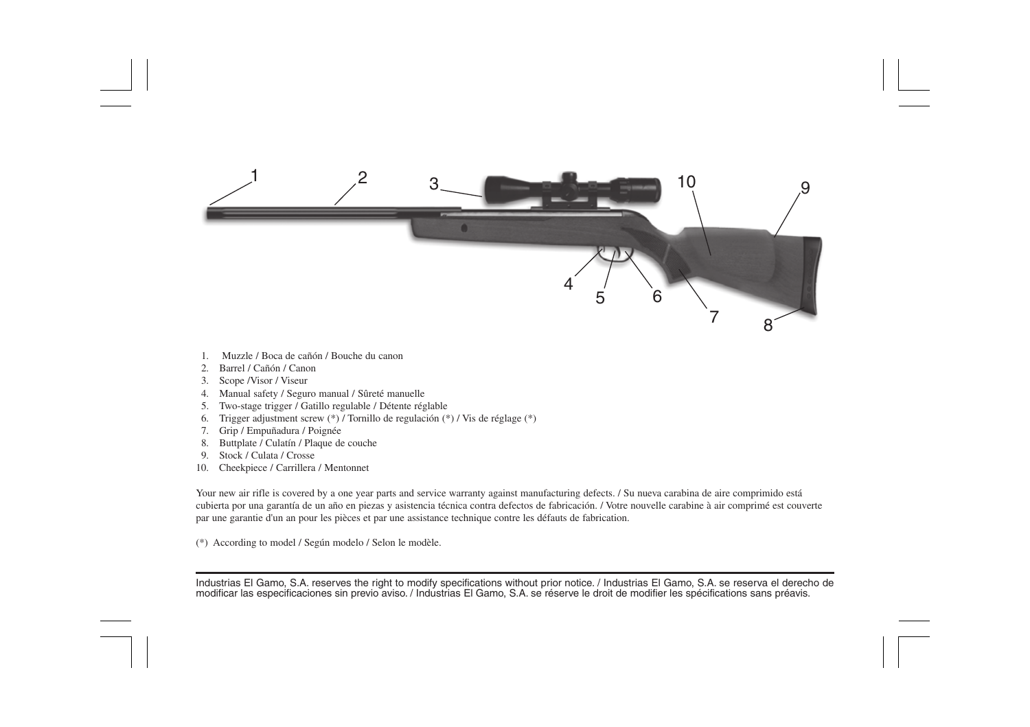

- 1. Muzzle / Boca de cañón / Bouche du canon
- 2. Barrel / Cañón / Canon
- 3. Scope /Visor / Viseur
- 4. Manual safety / Seguro manual / Sûreté manuelle
- 5. Two-stage trigger / Gatillo regulable / Détente réglable
- 6. Trigger adjustment screw (\*) / Tornillo de regulación (\*) / Vis de réglage (\*)
- 7. Grip / Empuñadura / Poignée
- 8. Buttplate / Culatín / Plaque de couche
- 9. Stock / Culata / Crosse
- 10. Cheekpiece / Carrillera / Mentonnet

Your new air rifle is covered by a one year parts and service warranty against manufacturing defects. / Su nueva carabina de aire comprimido está cubierta por una garantía de un año en piezas y asistencia técnica contra defectos de fabricación. / Votre nouvelle carabine à air comprimé est couverte par une garantie d'un an pour les pièces et par une assistance technique contre les défauts de fabrication.

(\*) According to model / Según modelo / Selon le modèle.

mousinas el ciamo, 5.A. reserves ine nynt io mouny specifications wintout prior nouce.7 midustrias el carno, 5.A. se reserva el dereci<br>modificar las especificaciones sin previo aviso.7 Industrias El Gamo, S.A. se réserve l Industrias El Gamo, S.A. reserves the right to modify specifications without prior notice. / Industrias El Gamo, S.A. se reserva el derecho de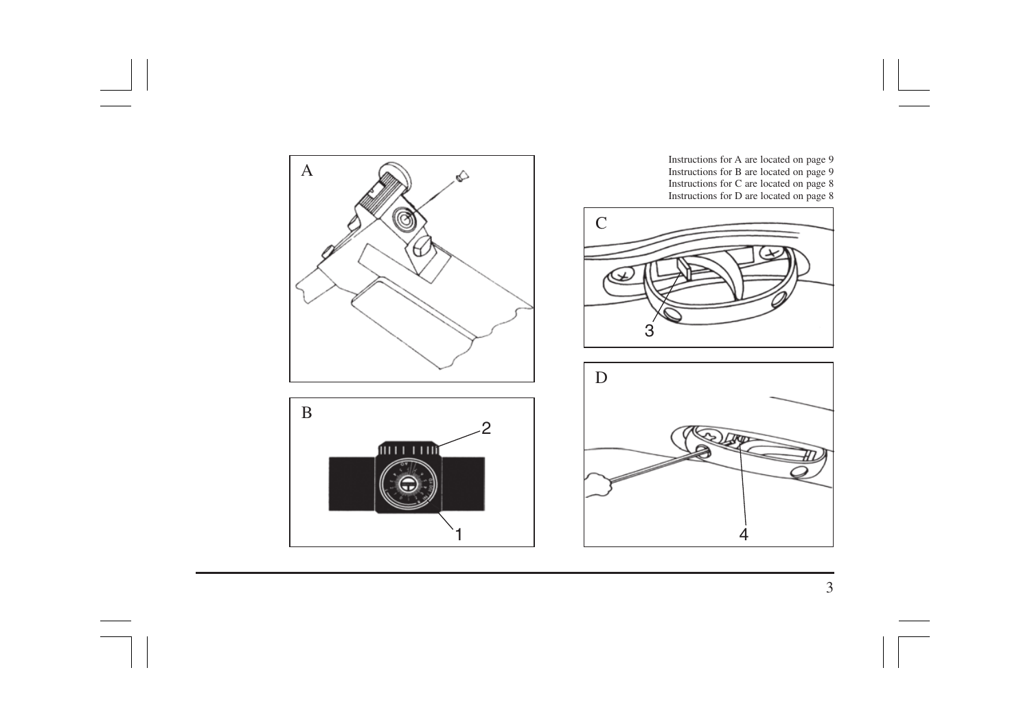

3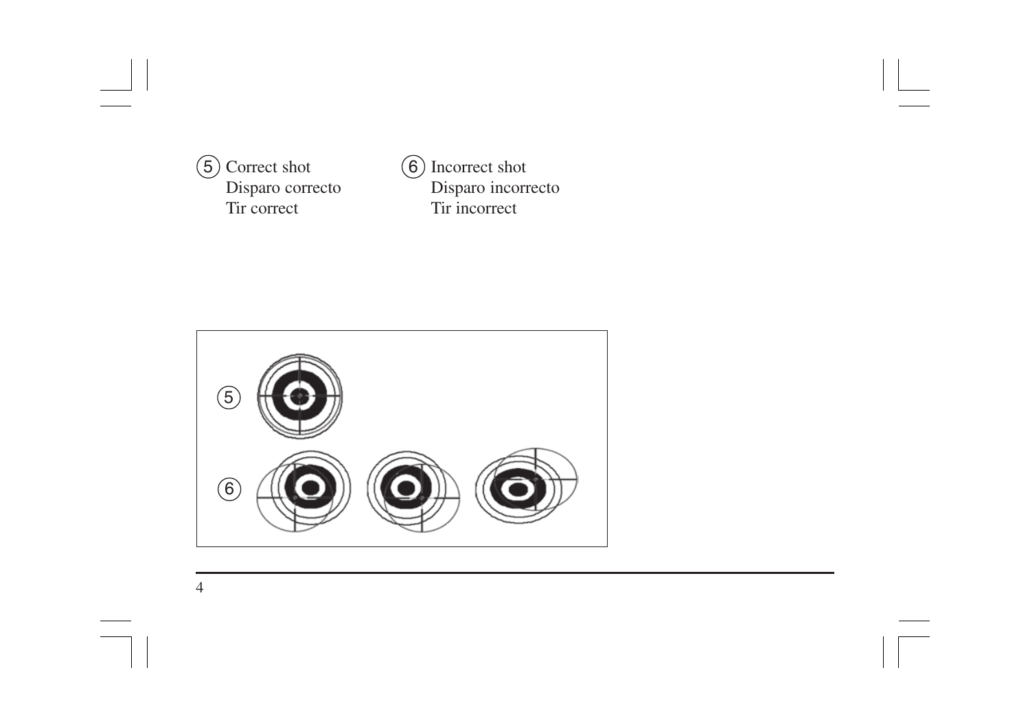5 Correct shot Disparo correcto Tir correct

6 Incorrect shot Disparo incorrecto Tir incorrect

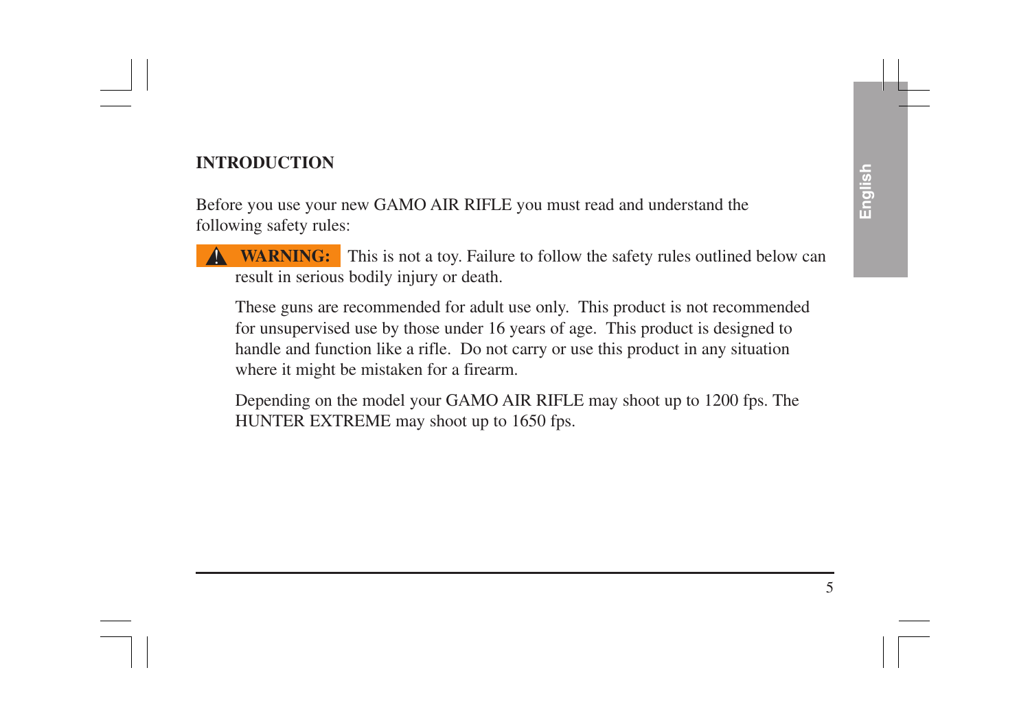### **INTRODUCTION**

Before you use your new GAMO AIR RIFLE you must read and understand the following safety rules:

**WARNING:** This is not a toy. Failure to follow the safety rules outlined below can result in serious bodily injury or death. |<br>|

These guns are recommended for adult use only. This product is not recommended for unsupervised use by those under 16 years of age. This product is designed to handle and function like a rifle. Do not carry or use this product in any situation where it might be mistaken for a firearm.

Depending on the model your GAMO AIR RIFLE may shoot up to 1200 fps. The HUNTER EXTREME may shoot up to 1650 fps.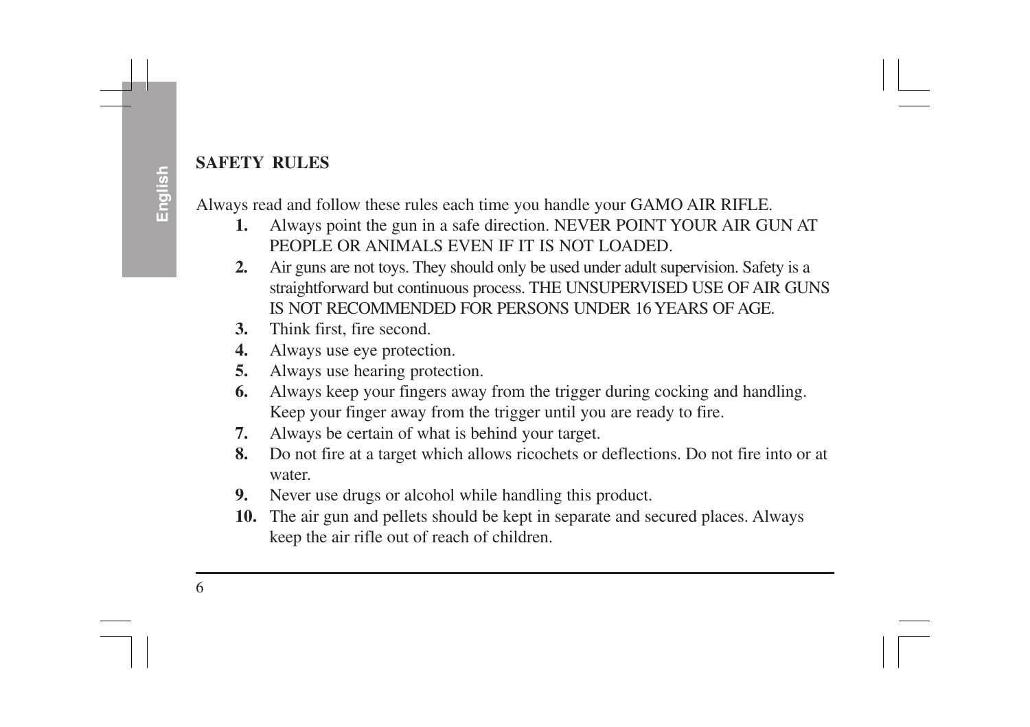**English**<br>Always read and follow these rules each time you handle your GAMO AIR RIFLE.<br>**1.** Always point the gun in a safe direction. NEVER POINT YOUR AIR GUN AT

- PEOPLE OR ANIMALS EVEN IF IT IS NOT LOADED.
- **2.** Air guns are not toys. They should only be used under adult supervision. Safety is a straightforward but continuous process. THE UNSUPERVISED USE OF AIR GUNS IS NOT RECOMMENDED FOR PERSONS UNDER 16 YEARS OF AGE.
- **3.** Think first, fire second.
- **4.** Always use eye protection.
- **5.** Always use hearing protection.
- **6.** Always keep your fingers away from the trigger during cocking and handling. Keep your finger away from the trigger until you are ready to fire.
- **7.** Always be certain of what is behind your target.
- **8.** Do not fire at a target which allows ricochets or deflections. Do not fire into or at water.
- **9.** Never use drugs or alcohol while handling this product.
- **10.** The air gun and pellets should be kept in separate and secured places. Always keep the air rifle out of reach of children.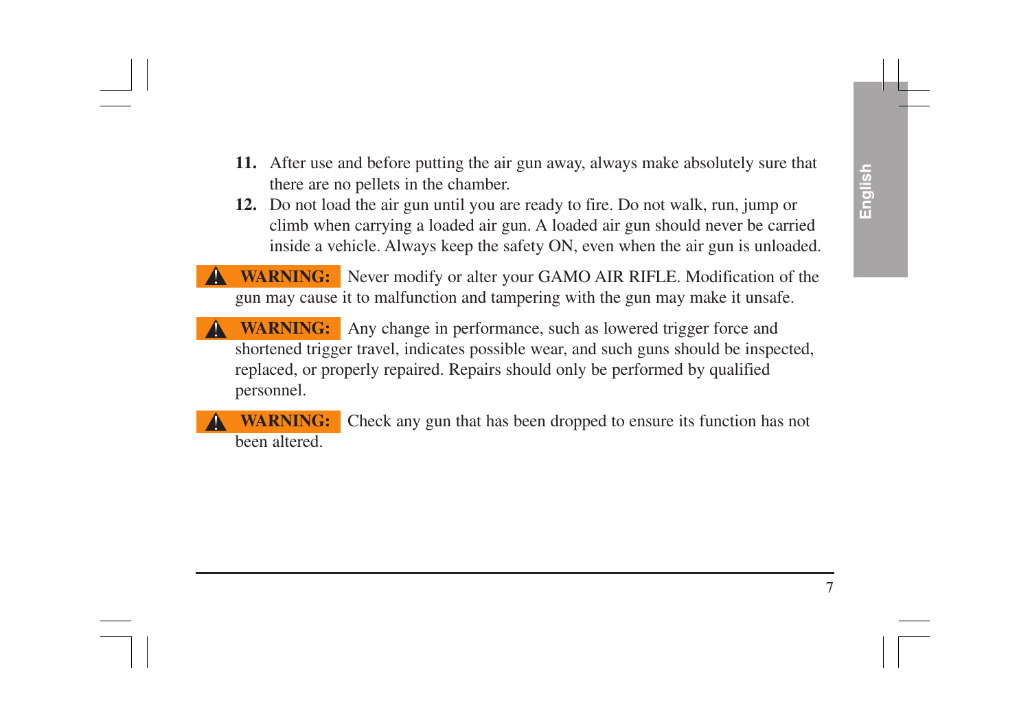- **11.** After use and before putting the air gun away, always make absolutely sure that there are no pellets in the chamber.
- **12.** Do not load the air gun until you are ready to fire. Do not walk, run, jump or climb when carrying a loaded air gun. A loaded air gun should never be carried inside a vehicle. Always keep the safety ON, even when the air gun is unloaded.
- **WARNING:** Never modify or alter your GAMO AIR RIFLE. Modification of the gun may cause it to malfunction and tampering with the gun may make it unsafe. !
- **WARNING:** Any change in performance, such as lowered trigger force and shortened trigger travel, indicates possible wear, and such guns should be inspected, replaced, or properly repaired. Repairs should only be performed by qualified personnel. !
- **WARNING:** Check any gun that has been dropped to ensure its function has not been altered. !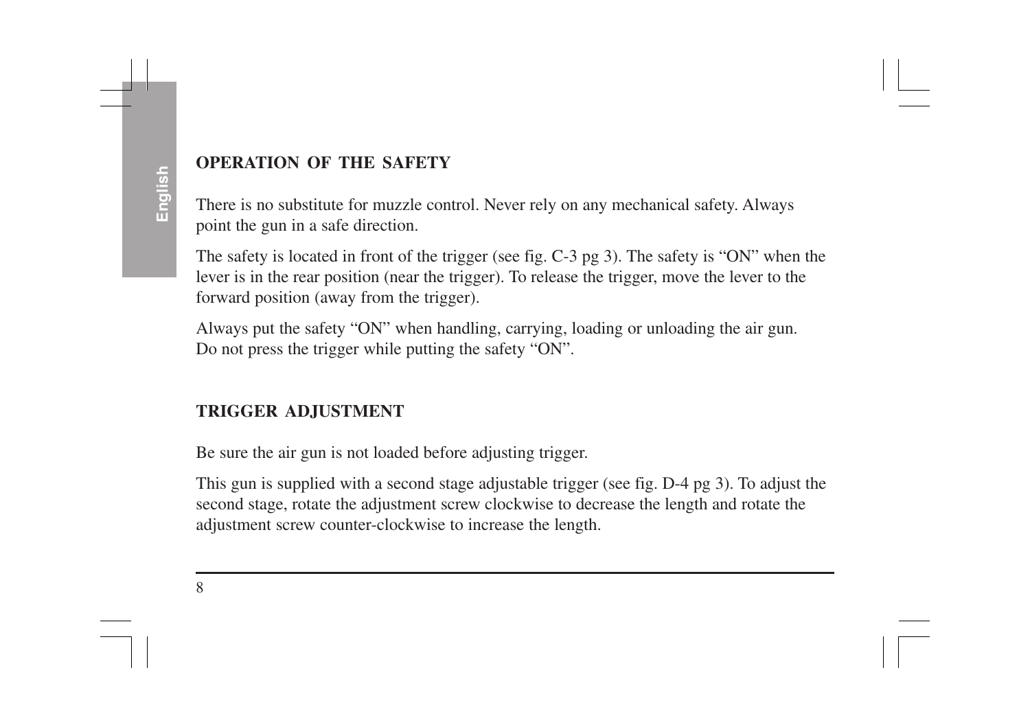#### **OPERATION OF THE SAFETY**

There is no substitute for muzzle control. Never rely on any mechanical safety. Always point the gun in a safe direction.

The safety is located in front of the trigger (see fig. C-3 pg 3). The safety is "ON" when the lever is in the rear position (near the trigger). To release the trigger, move the lever to the forward position (away from the trigger).

Always put the safety "ON" when handling, carrying, loading or unloading the air gun. Do not press the trigger while putting the safety "ON".

## **TRIGGER ADJUSTMENT**

Be sure the air gun is not loaded before adjusting trigger.

This gun is supplied with a second stage adjustable trigger (see fig. D-4 pg 3). To adjust the second stage, rotate the adjustment screw clockwise to decrease the length and rotate the adjustment screw counter-clockwise to increase the length.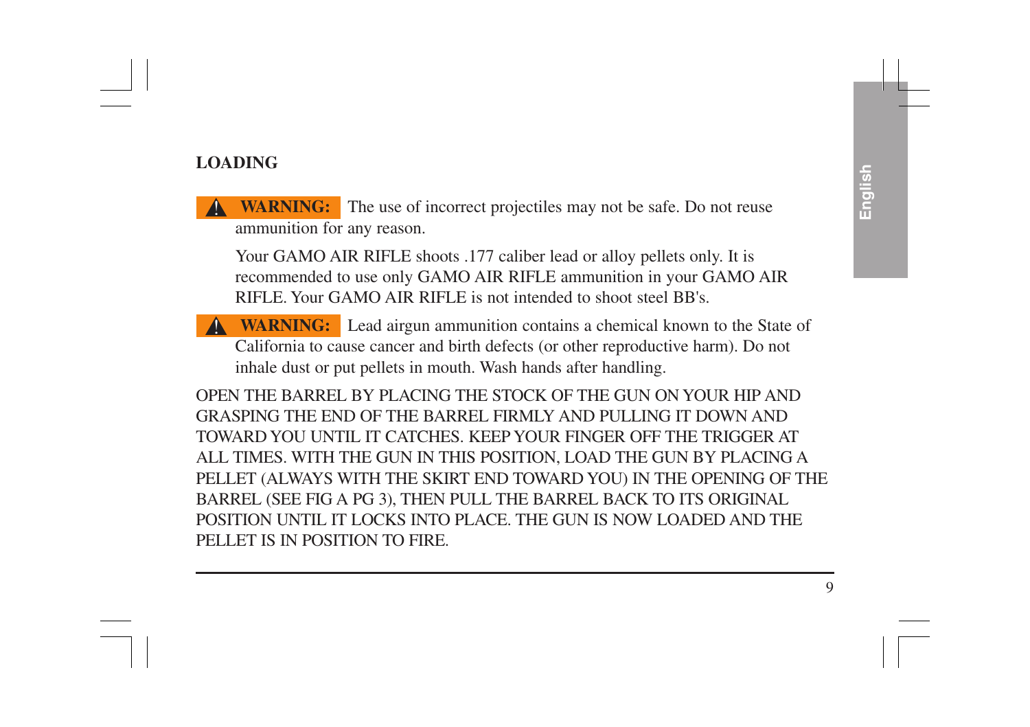#### **LOADING**

**WARNING:** The use of incorrect projectiles may not be safe. Do not reuse ammunition for any reason.

Your GAMO AIR RIFLE shoots .177 caliber lead or alloy pellets only. It is recommended to use only GAMO AIR RIFLE ammunition in your GAMO AIR RIFLE. Your GAMO AIR RIFLE is not intended to shoot steel BB's.

**WARNING:** Lead airgun ammunition contains a chemical known to the State of California to cause cancer and birth defects (or other reproductive harm). Do not inhale dust or put pellets in mouth. Wash hands after handling. !

OPEN THE BARREL BY PLACING THE STOCK OF THE GUN ON YOUR HIP AND GRASPING THE END OF THE BARREL FIRMLY AND PULLING IT DOWN AND TOWARD YOU UNTIL IT CATCHES. KEEP YOUR FINGER OFF THE TRIGGER AT ALL TIMES. WITH THE GUN IN THIS POSITION, LOAD THE GUN BY PLACING A PELLET (ALWAYS WITH THE SKIRT END TOWARD YOU) IN THE OPENING OF THE BARREL (SEE FIG A PG 3), THEN PULL THE BARREL BACK TO ITS ORIGINAL POSITION UNTIL IT LOCKS INTO PLACE. THE GUN IS NOW LOADED AND THE PELLET IS IN POSITION TO FIRE.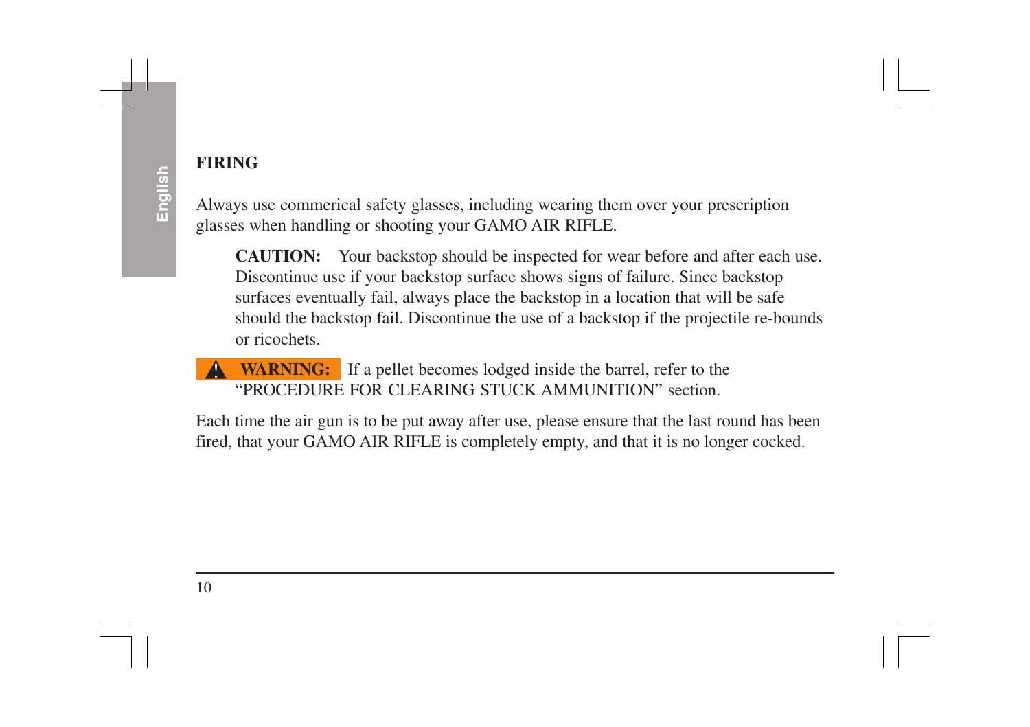## **FIRING**

Always use commerical safety glasses, including wearing them over your prescription glasses when handling or shooting your GAMO AIR RIFLE.

**CAUTION:** Your backstop should be inspected for wear before and after each use. Discontinue use if your backstop surface shows signs of failure. Since backstop surfaces eventually fail, always place the backstop in a location that will be safe should the backstop fail. Discontinue the use of a backstop if the projectile re-bounds or ricochets.

#### **WARNING:** If a pellet becomes lodged inside the barrel, refer to the "PROCEDURE FOR CLEARING STUCK AMMUNITION" section. !

Each time the air gun is to be put away after use, please ensure that the last round has been fired, that your GAMO AIR RIFLE is completely empty, and that it is no longer cocked.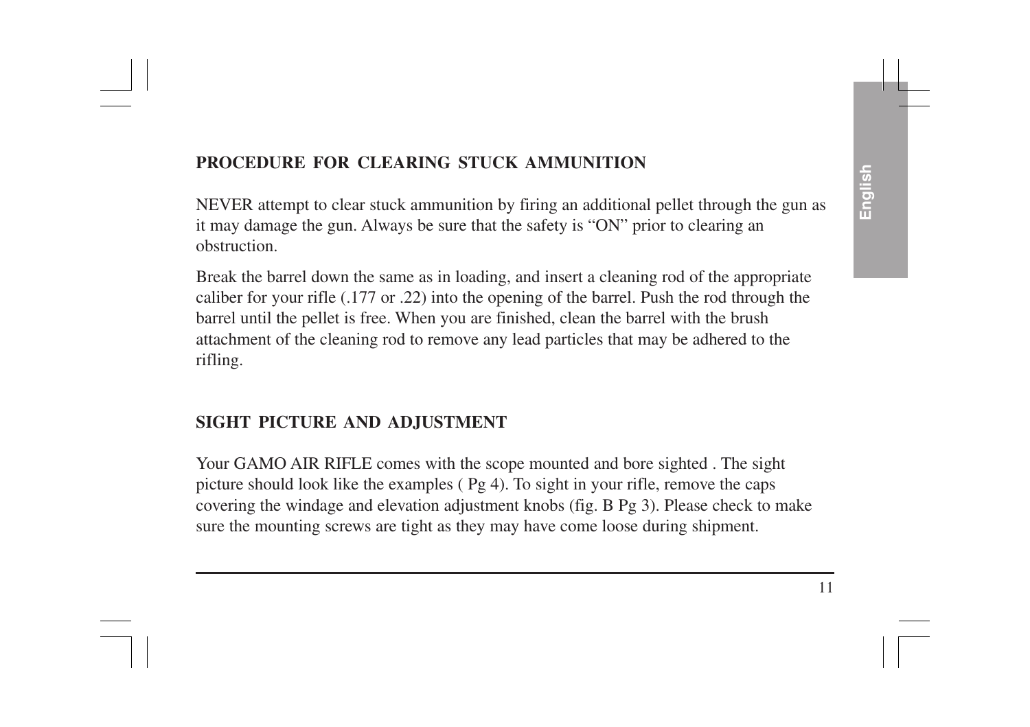### **PROCEDURE FOR CLEARING STUCK AMMUNITION**

NEVER attempt to clear stuck ammunition by firing an additional pellet through the gun as it may damage the gun. Always be sure that the safety is "ON" prior to clearing an obstruction.

Break the barrel down the same as in loading, and insert a cleaning rod of the appropriate caliber for your rifle (.177 or .22) into the opening of the barrel. Push the rod through the barrel until the pellet is free. When you are finished, clean the barrel with the brush attachment of the cleaning rod to remove any lead particles that may be adhered to the rifling.

#### **SIGHT PICTURE AND ADJUSTMENT**

Your GAMO AIR RIFLE comes with the scope mounted and bore sighted . The sight picture should look like the examples  $(Pg 4)$ . To sight in your rifle, remove the caps covering the windage and elevation adjustment knobs (fig. B Pg 3). Please check to make sure the mounting screws are tight as they may have come loose during shipment.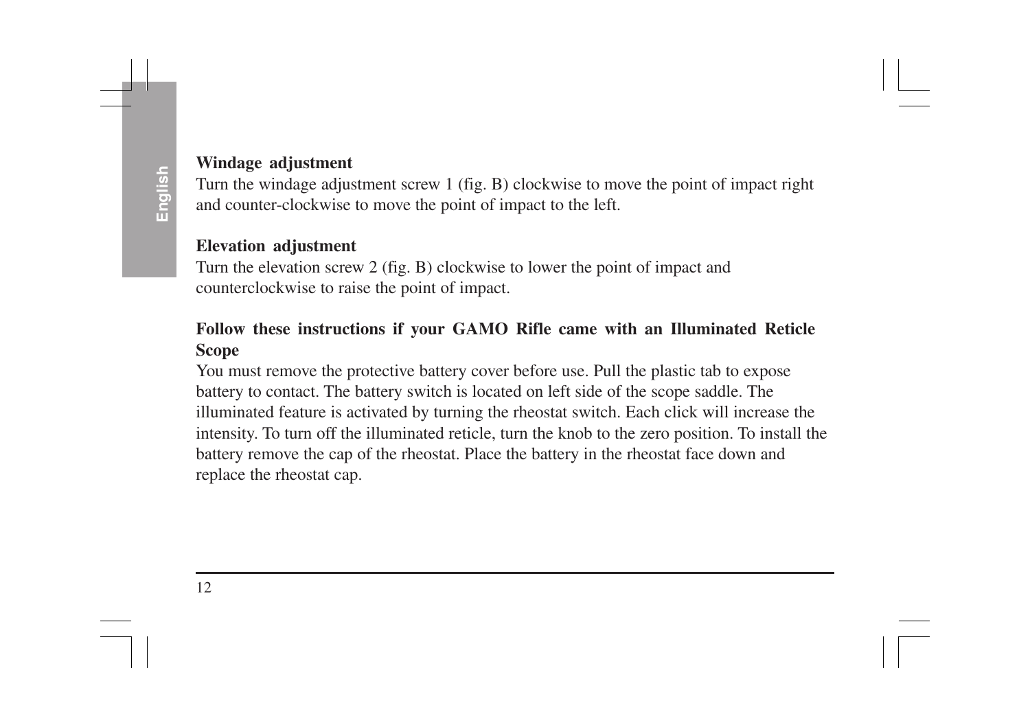#### **Windage adjustment**

Turn the windage adjustment screw 1 (fig. B) clockwise to move the point of impact right and counter-clockwise to move the point of impact to the left.

#### **Elevation adjustment**

Turn the elevation screw 2 (fig. B) clockwise to lower the point of impact and counterclockwise to raise the point of impact.

#### **Follow these instructions if your GAMO Rifle came with an Illuminated Reticle Scope**

You must remove the protective battery cover before use. Pull the plastic tab to expose battery to contact. The battery switch is located on left side of the scope saddle. The illuminated feature is activated by turning the rheostat switch. Each click will increase the intensity. To turn off the illuminated reticle, turn the knob to the zero position. To install the battery remove the cap of the rheostat. Place the battery in the rheostat face down and replace the rheostat cap.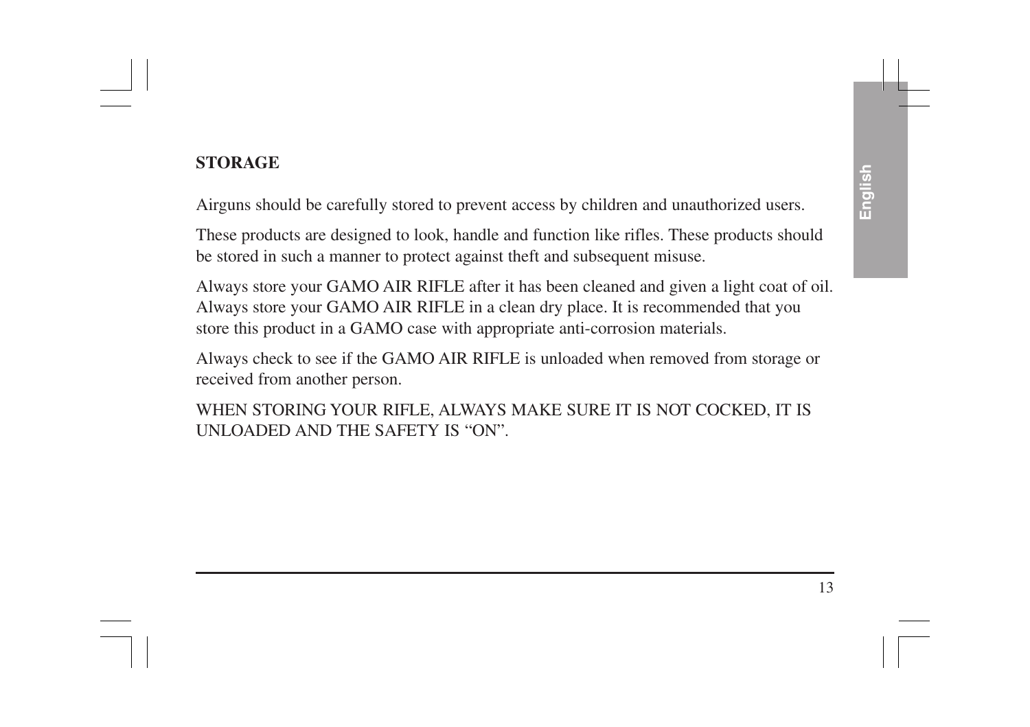#### **STORAGE**

Airguns should be carefully stored to prevent access by children and unauthorized users.

These products are designed to look, handle and function like rifles. These products should be stored in such a manner to protect against theft and subsequent misuse.

Always store your GAMO AIR RIFLE after it has been cleaned and given a light coat of oil. Always store your GAMO AIR RIFLE in a clean dry place. It is recommended that you store this product in a GAMO case with appropriate anti-corrosion materials.

Always check to see if the GAMO AIR RIFLE is unloaded when removed from storage or received from another person.

WHEN STORING YOUR RIFLE, ALWAYS MAKE SURE IT IS NOT COCKED, IT IS UNLOADED AND THE SAFETY IS "ON".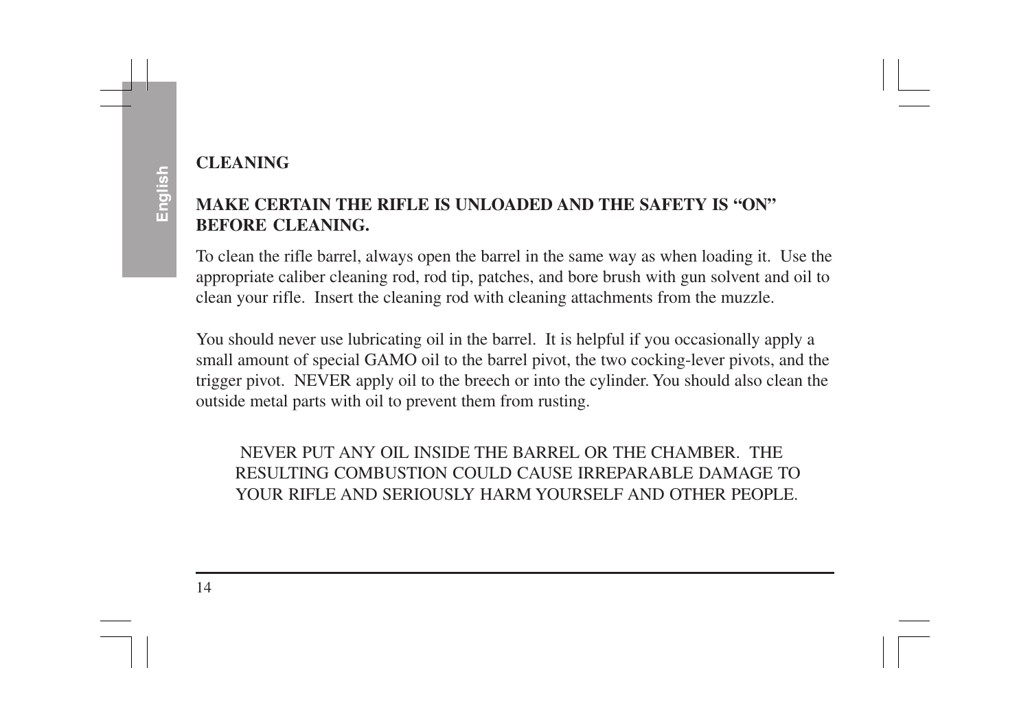# **ENGLISHED CLEANING**<br> **MAKE CERTAIN THE RIFLE IS UNLOADED AND THE SAFETY IS "ON"**<br> **BEFORE CLEANING.**

To clean the rifle barrel, always open the barrel in the same way as when loading it. Use the appropriate caliber cleaning rod, rod tip, patches, and bore brush with gun solvent and oil to clean your rifle. Insert the cleaning rod with cleaning attachments from the muzzle.

You should never use lubricating oil in the barrel. It is helpful if you occasionally apply a small amount of special GAMO oil to the barrel pivot, the two cocking-lever pivots, and the trigger pivot. NEVER apply oil to the breech or into the cylinder. You should also clean the outside metal parts with oil to prevent them from rusting.

NEVER PUT ANY OIL INSIDE THE BARREL OR THE CHAMBER. THE RESULTING COMBUSTION COULD CAUSE IRREPARABLE DAMAGE TO YOUR RIFLE AND SERIOUSLY HARM YOURSELF AND OTHER PEOPLE.